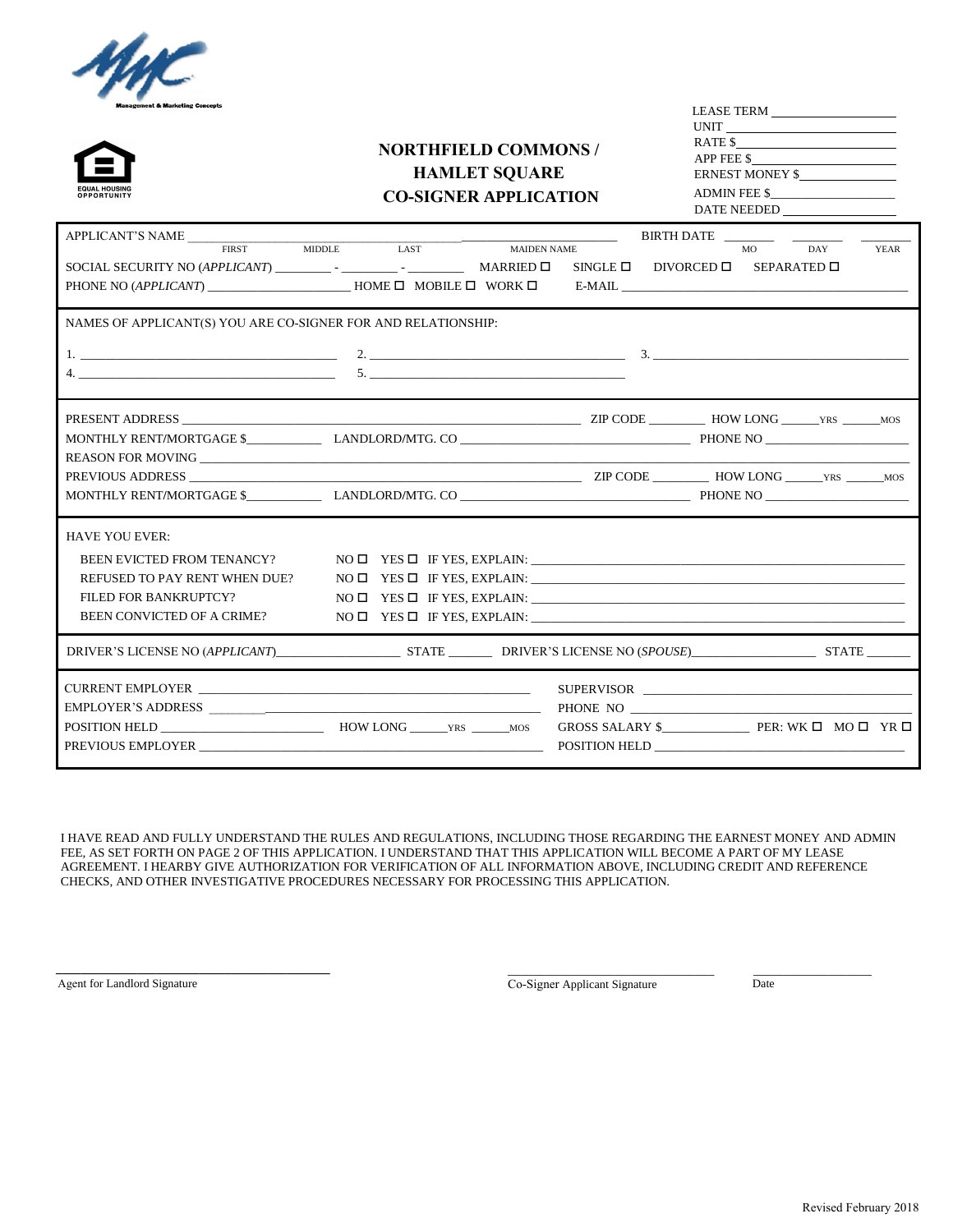



# **NORTHFIELD COMMONS / HAMLET SQUARE CO-SIGNER APPLICATION**

| <b>LEASE TERM</b>  |
|--------------------|
| UNIT               |
| RATE \$            |
| APP FEE \$         |
| ERNEST MONEY \$    |
| ADMIN FEE \$       |
| <b>DATE NEEDED</b> |
|                    |

| APPLICANT'S NAME                                                                                                                                                                                                                                                                                                       |             | BIRTH DATE                                              |  |
|------------------------------------------------------------------------------------------------------------------------------------------------------------------------------------------------------------------------------------------------------------------------------------------------------------------------|-------------|---------------------------------------------------------|--|
|                                                                                                                                                                                                                                                                                                                        | MIDDLE LAST | MAIDEN NAME<br>DAY<br>MO<br><b>YEAR</b>                 |  |
|                                                                                                                                                                                                                                                                                                                        |             | SINGLE $\square$ DIVORCED $\square$ SEPARATED $\square$ |  |
|                                                                                                                                                                                                                                                                                                                        |             |                                                         |  |
|                                                                                                                                                                                                                                                                                                                        |             |                                                         |  |
| NAMES OF APPLICANT(S) YOU ARE CO-SIGNER FOR AND RELATIONSHIP:                                                                                                                                                                                                                                                          |             |                                                         |  |
|                                                                                                                                                                                                                                                                                                                        |             |                                                         |  |
| 4. $\frac{1}{2}$ $\frac{1}{2}$ $\frac{1}{2}$ $\frac{1}{2}$ $\frac{1}{2}$ $\frac{1}{2}$ $\frac{1}{2}$ $\frac{1}{2}$ $\frac{1}{2}$ $\frac{1}{2}$ $\frac{1}{2}$ $\frac{1}{2}$ $\frac{1}{2}$ $\frac{1}{2}$ $\frac{1}{2}$ $\frac{1}{2}$ $\frac{1}{2}$ $\frac{1}{2}$ $\frac{1}{2}$ $\frac{1}{2}$ $\frac{1}{2}$ $\frac{1}{2}$ |             |                                                         |  |
|                                                                                                                                                                                                                                                                                                                        |             |                                                         |  |
|                                                                                                                                                                                                                                                                                                                        |             |                                                         |  |
|                                                                                                                                                                                                                                                                                                                        |             |                                                         |  |
|                                                                                                                                                                                                                                                                                                                        |             |                                                         |  |
|                                                                                                                                                                                                                                                                                                                        |             |                                                         |  |
|                                                                                                                                                                                                                                                                                                                        |             |                                                         |  |
|                                                                                                                                                                                                                                                                                                                        |             |                                                         |  |
| <b>HAVE YOU EVER:</b>                                                                                                                                                                                                                                                                                                  |             |                                                         |  |
| BEEN EVICTED FROM TENANCY?                                                                                                                                                                                                                                                                                             |             |                                                         |  |
| REFUSED TO PAY RENT WHEN DUE?                                                                                                                                                                                                                                                                                          |             |                                                         |  |
| FILED FOR BANKRUPTCY?                                                                                                                                                                                                                                                                                                  |             |                                                         |  |
| <b>BEEN CONVICTED OF A CRIME?</b>                                                                                                                                                                                                                                                                                      |             |                                                         |  |
|                                                                                                                                                                                                                                                                                                                        |             |                                                         |  |
|                                                                                                                                                                                                                                                                                                                        |             |                                                         |  |
|                                                                                                                                                                                                                                                                                                                        |             |                                                         |  |
|                                                                                                                                                                                                                                                                                                                        |             | PHONE NO                                                |  |
|                                                                                                                                                                                                                                                                                                                        |             |                                                         |  |
| PREVIOUS EMPLOYER                                                                                                                                                                                                                                                                                                      |             |                                                         |  |
|                                                                                                                                                                                                                                                                                                                        |             |                                                         |  |

I HAVE READ AND FULLY UNDERSTAND THE RULES AND REGULATIONS, INCLUDING THOSE REGARDING THE EARNEST MONEY AND ADMIN FEE, AS SET FORTH ON PAGE 2 OF THIS APPLICATION. I UNDERSTAND THAT THIS APPLICATION WILL BECOME A PART OF MY LEASE AGREEMENT. I HEARBY GIVE AUTHORIZATION FOR VERIFICATION OF ALL INFORMATION ABOVE, INCLUDING CREDIT AND REFERENCE CHECKS, AND OTHER INVESTIGATIVE PROCEDURES NECESSARY FOR PROCESSING THIS APPLICATION.

Agent for Landlord Signature

**\_\_\_\_\_\_\_\_\_\_\_\_\_\_\_\_\_\_\_\_\_\_\_\_\_\_\_\_\_\_\_\_\_\_\_\_\_\_\_\_\_\_\_\_**

Co-Signer Applicant Signature

\_\_\_\_\_\_\_\_\_\_\_\_\_\_\_\_\_\_\_\_\_\_\_\_\_\_\_\_\_\_\_\_\_

Date

\_\_\_\_\_\_\_\_\_\_\_\_\_\_\_\_\_\_\_